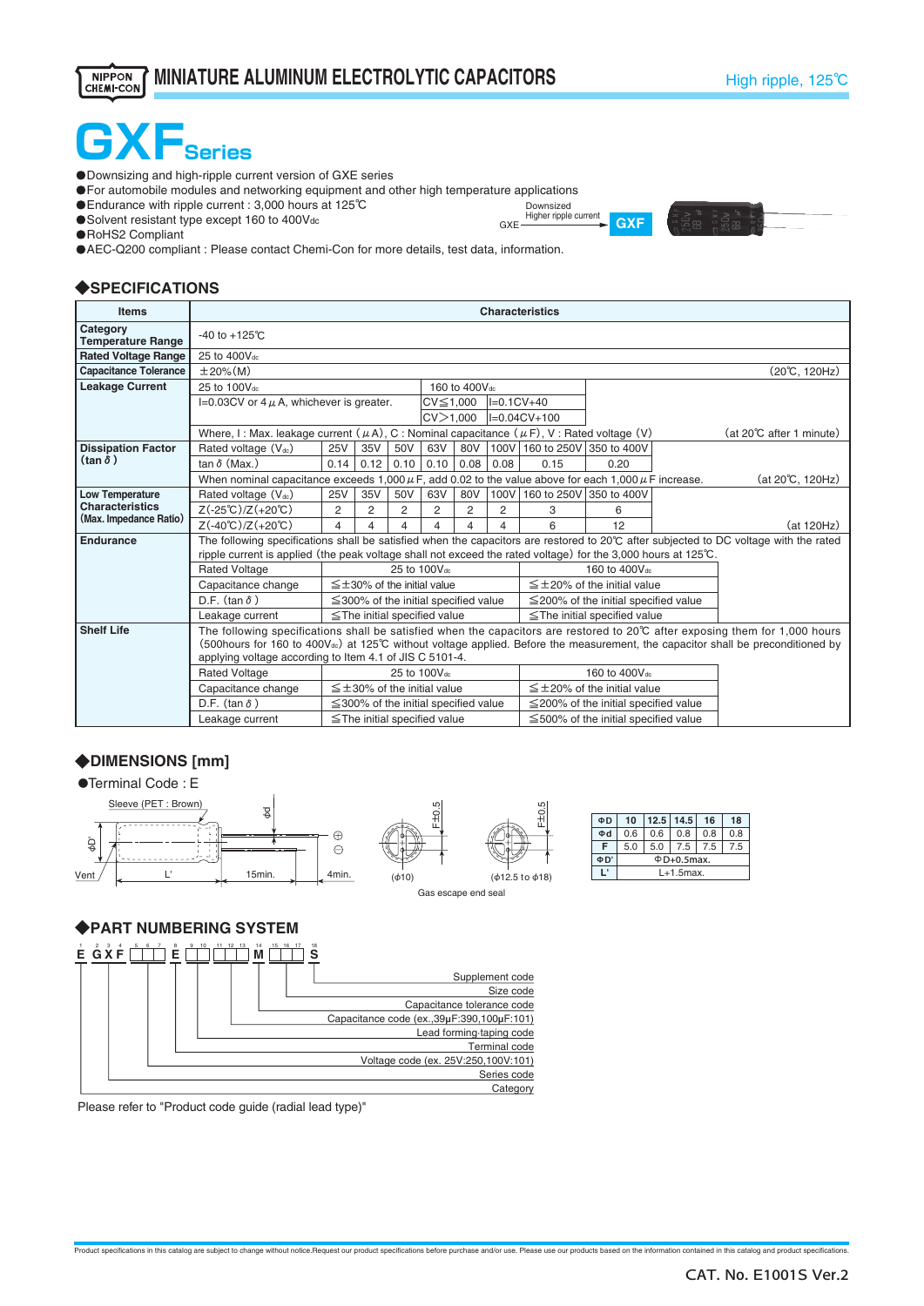

・Downsizing and high-ripple current version of GXE series

**OFor automobile modules and networking equipment and other high temperature applications** 

・Endurance with ripple current : 3,000 hours at 125℃

・Solvent resistant type except 160 to 400Vdc

**O**RoHS2 Compliant

・AEC-Q200 compliant : Please contact Chemi-Con for more details, test data, information.

#### ◆**SPECIFICATIONS**

| <b>Items</b>                                     | <b>Characteristics</b>                                                                                        |      |      |      |                                            |                           |               |                              |                                            |  |                                                                                                                                              |  |  |  |
|--------------------------------------------------|---------------------------------------------------------------------------------------------------------------|------|------|------|--------------------------------------------|---------------------------|---------------|------------------------------|--------------------------------------------|--|----------------------------------------------------------------------------------------------------------------------------------------------|--|--|--|
| Category<br><b>Temperature Range</b>             | -40 to $+125^{\circ}$ C                                                                                       |      |      |      |                                            |                           |               |                              |                                            |  |                                                                                                                                              |  |  |  |
| <b>Rated Voltage Range</b>                       | 25 to 400Vdc                                                                                                  |      |      |      |                                            |                           |               |                              |                                            |  |                                                                                                                                              |  |  |  |
| <b>Capacitance Tolerance</b>                     | $±20\%$ (M)<br>(20℃, 120Hz)                                                                                   |      |      |      |                                            |                           |               |                              |                                            |  |                                                                                                                                              |  |  |  |
| <b>Leakage Current</b>                           | 25 to 100V <sub>dc</sub>                                                                                      |      |      |      |                                            | 160 to 400V <sub>dc</sub> |               |                              |                                            |  |                                                                                                                                              |  |  |  |
|                                                  | I=0.03CV or $4 \mu$ A, whichever is greater.                                                                  |      |      |      | $CV \leq 1,000$                            |                           | $ I=0.1CV+40$ |                              |                                            |  |                                                                                                                                              |  |  |  |
|                                                  |                                                                                                               |      |      |      | CV > 1.000                                 |                           |               | I=0.04CV+100                 |                                            |  |                                                                                                                                              |  |  |  |
|                                                  | Where, I: Max. leakage current $(\mu A)$ , C: Nominal capacitance $(\mu F)$ , V: Rated voltage (V)            |      |      |      |                                            |                           |               |                              |                                            |  | (at 20°C after 1 minute)                                                                                                                     |  |  |  |
| <b>Dissipation Factor</b>                        | Rated voltage $(V_{dc})$                                                                                      | 25V  | 35V  | 50V  | 63V                                        | 80V                       |               | 100V 160 to 250V 350 to 400V |                                            |  |                                                                                                                                              |  |  |  |
| $(\tan \delta)$                                  | tan $\delta$ (Max.)                                                                                           | 0.14 | 0.12 | 0.10 | 0.10                                       | 0.08                      | 0.08          | 0.15                         | 0.20                                       |  |                                                                                                                                              |  |  |  |
|                                                  | When nominal capacitance exceeds 1,000 $\mu$ F, add 0.02 to the value above for each 1,000 $\mu$ F increase.  |      |      |      |                                            |                           |               |                              |                                            |  | (at 20℃, 120Hz)                                                                                                                              |  |  |  |
| Low Temperature                                  | Rated voltage (Vdc)                                                                                           | 25V  | 35V  | 50V  | 63V                                        | 80V                       |               | 100V 160 to 250V 350 to 400V |                                            |  |                                                                                                                                              |  |  |  |
| <b>Characteristics</b><br>(Max. Impedance Ratio) | $Z(-25^{\circ}C)/Z(+20^{\circ}C)$                                                                             | 2    | 2    | 2    | 2                                          | 2                         | 2             | 3                            | 6                                          |  |                                                                                                                                              |  |  |  |
|                                                  | $Z(-40^{\circ}C)/Z(+20^{\circ}C)$                                                                             | 4    | 4    | 4    | 4                                          | 4                         |               | 6                            | 12                                         |  | (at 120Hz)                                                                                                                                   |  |  |  |
| <b>Endurance</b>                                 |                                                                                                               |      |      |      |                                            |                           |               |                              |                                            |  | The following specifications shall be satisfied when the capacitors are restored to 20°C after subjected to DC voltage with the rated        |  |  |  |
|                                                  | ripple current is applied (the peak voltage shall not exceed the rated voltage) for the 3,000 hours at 125°C. |      |      |      |                                            |                           |               |                              |                                            |  |                                                                                                                                              |  |  |  |
|                                                  | <b>Rated Voltage</b>                                                                                          |      |      |      | 25 to 100V <sub>dc</sub>                   |                           |               |                              | 160 to 400V <sub>dc</sub>                  |  |                                                                                                                                              |  |  |  |
|                                                  | Capacitance change                                                                                            |      |      |      | $\leq \pm 30\%$ of the initial value       |                           |               |                              | $\leq \pm 20\%$ of the initial value       |  |                                                                                                                                              |  |  |  |
|                                                  | D.F. (tan $\delta$ )                                                                                          |      |      |      | $\leq$ 300% of the initial specified value |                           |               |                              | $\leq$ 200% of the initial specified value |  |                                                                                                                                              |  |  |  |
|                                                  | Leakage current                                                                                               |      |      |      | $\le$ The initial specified value          |                           |               |                              | $\le$ The initial specified value          |  |                                                                                                                                              |  |  |  |
| <b>Shelf Life</b>                                |                                                                                                               |      |      |      |                                            |                           |               |                              |                                            |  | The following specifications shall be satisfied when the capacitors are restored to 20°C after exposing them for 1,000 hours                 |  |  |  |
|                                                  | applying voltage according to Item 4.1 of JIS C 5101-4.                                                       |      |      |      |                                            |                           |               |                              |                                            |  | (500hours for 160 to 400V <sub>dc</sub> ) at 125°C without voltage applied. Before the measurement, the capacitor shall be preconditioned by |  |  |  |
|                                                  | <b>Rated Voltage</b>                                                                                          |      |      |      | 25 to 100Vdc                               |                           |               |                              | 160 to 400Vdc                              |  |                                                                                                                                              |  |  |  |
|                                                  |                                                                                                               |      |      |      | $\leq$ +30% of the initial value           |                           |               |                              | $\leq$ +20% of the initial value           |  |                                                                                                                                              |  |  |  |
|                                                  | Capacitance change<br>D.F. (tan $\delta$ )                                                                    |      |      |      |                                            |                           |               |                              |                                            |  |                                                                                                                                              |  |  |  |
|                                                  |                                                                                                               |      |      |      | $\leq$ 300% of the initial specified value |                           |               |                              | $\leq$ 200% of the initial specified value |  |                                                                                                                                              |  |  |  |
|                                                  | Leakage current                                                                                               |      |      |      | $\le$ The initial specified value          |                           |               |                              | $\leq$ 500% of the initial specified value |  |                                                                                                                                              |  |  |  |

Downsized Higher ripple current GXE **GXE** 

Product specifications in this catalog are subject to change without notice.Request our product specifications before purchase and/or use. Please use our products based on the information contained in this catalog and prod

#### ◆**DIMENSIONS [mm]**



| ΦD | 10               |              | $12.5$   14.5 | 16  | 18  |  |  |  |  |
|----|------------------|--------------|---------------|-----|-----|--|--|--|--|
| Φd | 0.6              | 0.6          | 0.8           | 0.8 | 0.8 |  |  |  |  |
| F  | 5.0              | 5.0          | 7.5           | 7.5 | 7.5 |  |  |  |  |
| ΦD | $\Phi$ D+0.5max. |              |               |     |     |  |  |  |  |
|    |                  | $L+1.5$ max. |               |     |     |  |  |  |  |

## ◆**PART NUMBERING SYSTEM**



Please refer to "Product code guide (radial lead type)"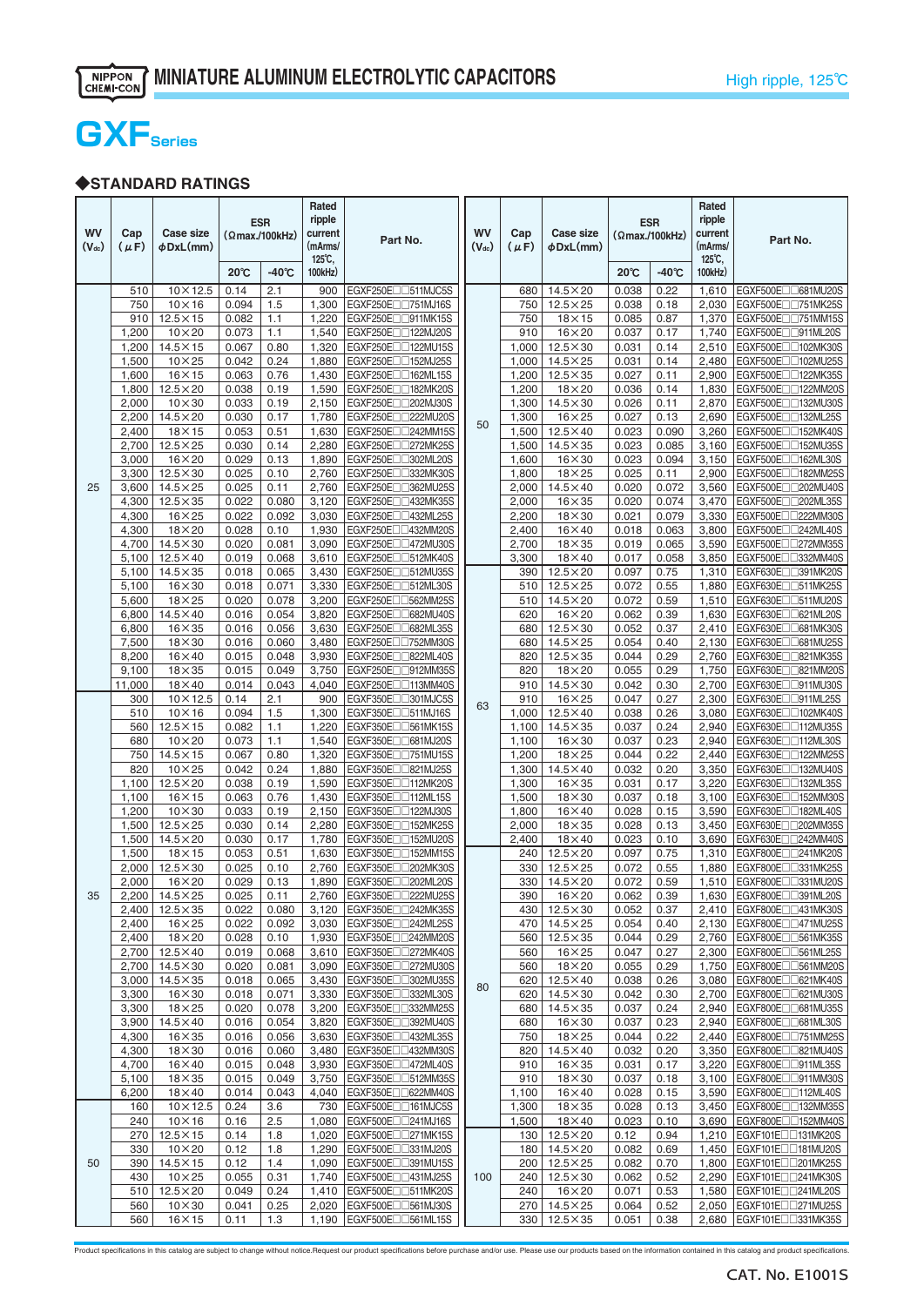# **GXFSeries**

# ◆**STANDARD RATINGS**

| <b>WV</b><br>$(V_{dc})$ | Cap<br>$(\mu F)$ | Case size<br>$\phi$ DxL $(\text{mm})$ |                | <b>ESR</b><br>$(\Omega$ max./100kHz) | Rated<br>ripple<br>current<br>(mArms/<br>125°C, | Part No.                                                         | <b>WV</b><br>$(V_{dc})$ | Cap<br>$(\mu F)$ | Case size<br>φDxL(mm)              |                | <b>ESR</b><br>(Qmax/100kHz) | Rated<br>ripple<br>current<br>(mArms/<br>125°C, | Part No.                                                           |
|-------------------------|------------------|---------------------------------------|----------------|--------------------------------------|-------------------------------------------------|------------------------------------------------------------------|-------------------------|------------------|------------------------------------|----------------|-----------------------------|-------------------------------------------------|--------------------------------------------------------------------|
|                         |                  |                                       | $20^{\circ}$ C | $-40^{\circ}$ C                      | 100kHz)                                         |                                                                  |                         |                  |                                    | $20^{\circ}$ C | $-40^{\circ}$ C             | 100kHz)                                         |                                                                    |
|                         | 510              | $10 \times 12.5$                      | 0.14           | 2.1                                  | 900                                             | EGXF250EIII511MJC5S                                              |                         | 680              | $14.5\times20$                     | 0.038          | 0.22                        | 1,610                                           | EGXF500E <sub>D</sub> 681MU20S                                     |
|                         | 750              | $10\times16$                          | 0.094          | 1.5                                  | 1,300                                           | EGXF250E <sub>1751MJ16S</sub>                                    |                         | 750              | $12.5 \times 25$                   | 0.038          | 0.18                        | 2,030                                           | EGXF500E <sub>1751MK25S</sub>                                      |
|                         | 910              | $12.5 \times 15$                      | 0.082          | 1.1                                  | 1,220                                           | EGXF250E <sub>1911MK15S</sub>                                    |                         | 750              | $18\times 15$                      | 0.085          | 0.87                        | 1,370                                           | EGXF500E <sub>1751MM15S</sub>                                      |
|                         | 1,200<br>1,200   | $10\times20$<br>$14.5 \times 15$      | 0.073<br>0.067 | 1.1<br>0.80                          | 1,540<br>1,320                                  | EGXF250E <sub>1122MJ20S</sub><br>EGXF250EII122MU15S              |                         | 910<br>1.000     | $16\times20$<br>$12.5 \times 30$   | 0.037<br>0.031 | 0.17<br>0.14                | 1,740<br>2,510                                  | EGXF500E <sub>1911ML20S</sub><br>EGXF500End102MK30S                |
|                         | 1,500            | $10\times25$                          | 0.042          | 0.24                                 | 1,880                                           | EGXF250End152MJ25S                                               |                         | 1,000            | $14.5 \times 25$                   | 0.031          | 0.14                        | 2,480                                           | EGXF500End102MU25S                                                 |
|                         | 1,600            | $16 \times 15$                        | 0.063          | 0.76                                 | 1,430                                           | EGXF250E <sub>1162ML15S</sub>                                    |                         | 1,200            | $12.5 \times 35$                   | 0.027          | 0.11                        | 2,900                                           | EGXF500E <sub>122MK35S</sub>                                       |
|                         | 1,800            | $12.5\times20$                        | 0.038          | 0.19                                 | 1,590                                           | EGXF250E <sub>1182MK20S</sub>                                    |                         | 1,200            | $18\times20$                       | 0.036          | 0.14                        | 1,830                                           | EGXF500E <sub>0</sub> 122MM20S                                     |
|                         | 2,000            | $10\times30$                          | 0.033          | 0.19                                 | 2,150                                           | EGXF250E <sub>1202MJ30S</sub>                                    |                         | 1,300            | $14.5 \times 30$                   | 0.026          | 0.11                        | 2,870                                           | EGXF500E <sub>[132MU30S]</sub>                                     |
|                         | 2,200            | $14.5 \times 20$                      | 0.030          | 0.17                                 | 1,780                                           | EGXF250EII222MU20S                                               | 50                      | 1,300            | $16 \times 25$                     | 0.027          | 0.13                        | 2,690                                           | EGXF500End132ML25S                                                 |
|                         | 2,400            | $18 \times 15$                        | 0.053          | 0.51                                 | 1,630                                           | EGXF250E <sub>D</sub> 242MM15S                                   |                         | 1,500            | $12.5 \times 40$                   | 0.023          | 0.090                       | 3,260                                           | EGXF500E <sub>U152MK40S</sub>                                      |
|                         | 2,700<br>3,000   | $12.5\times25$<br>$16\times20$        | 0.030<br>0.029 | 0.14<br>0.13                         | 2,280<br>1,890                                  | EGXF250E <sub>1272MK25S</sub><br>EGXF250E <sub>1302ML20S</sub>   |                         | 1,500<br>1,600   | $14.5 \times 35$<br>$16\times30$   | 0.023<br>0.023 | 0.085<br>0.094              | 3,160<br>3,150                                  | EGXF500E <sub>1152MU35S</sub><br>EGXF500E <sub>1162ML30S</sub>     |
|                         | 3,300            | $12.5 \times 30$                      | 0.025          | 0.10                                 | 2,760                                           | EGXF250E <sub>1332MK30S</sub>                                    |                         | 1,800            | $18\times25$                       | 0.025          | 0.11                        | 2,900                                           | EGXF500E <sub>1182MM25S</sub>                                      |
| 25                      | 3,600            | $14.5\times25$                        | 0.025          | 0.11                                 | 2,760                                           | EGXF250E <sub>D</sub> 362MU25S                                   |                         | 2,000            | $14.5 \times 40$                   | 0.020          | 0.072                       | 3,560                                           | EGXF500Enn202MU40S                                                 |
|                         | 4,300            | $12.5 \times 35$                      | 0.022          | 0.080                                | 3,120                                           | EGXF250EII1432MK35S                                              |                         | 2,000            | $16 \times 35$                     | 0.020          | 0.074                       | 3,470                                           | EGXF500Enn202ML35S                                                 |
|                         | 4,300            | $16\times25$                          | 0.022          | 0.092                                | 3,030                                           | EGXF250E <sub>1432ML25S</sub>                                    |                         | 2,200            | $18\times30$                       | 0.021          | 0.079                       | 3,330                                           | EGXF500E <sub>1222MM30S</sub>                                      |
|                         | 4,300            | $18\times20$                          | 0.028          | 0.10                                 | 1,930                                           | EGXF250E <sub>[1432MM20S]</sub>                                  |                         | 2,400            | $16\times 40$                      | 0.018          | 0.063                       | 3,800                                           | EGXF500E <sub>1242ML40S</sub>                                      |
|                         | 4,700            | $14.5 \times 30$                      | 0.020          | 0.081                                | 3,090                                           | EGXF250E <sub>1472MU30S</sub>                                    |                         | 2,700            | $18 \times 35$                     | 0.019          | 0.065                       | 3,590                                           | EGXF500E <sub>0272MM35S</sub>                                      |
|                         | 5,100<br>5,100   | $12.5 \times 40$                      | 0.019<br>0.018 | 0.068<br>0.065                       | 3,610<br>3,430                                  | EGXF250End512MK40S<br>EGXF250EII512MU35S                         |                         | 3,300<br>390     | $18\times 40$<br>$12.5\times20$    | 0.017<br>0.097 | 0.058<br>0.75               | 3,850<br>1,310                                  | EGXF500E <sub>D</sub> 332MM40S<br>EGXF630EII391MK20S               |
|                         | 5,100            | $14.5 \times 35$<br>$16 \times 30$    | 0.018          | 0.071                                | 3,330                                           | EGXF250E <sub>1312ML30S</sub>                                    |                         | 510              | $12.5 \times 25$                   | 0.072          | 0.55                        | 1,880                                           | EGXF630E <sub>1511MK25S</sub>                                      |
|                         | 5,600            | $18\times25$                          | 0.020          | 0.078                                | 3,200                                           | EGXF250E <sub>1562MM25S</sub>                                    |                         | 510              | $14.5 \times 20$                   | 0.072          | 0.59                        | 1,510                                           | EGXF630E <sub>1511MU20S</sub>                                      |
|                         | 6,800            | $14.5 \times 40$                      | 0.016          | 0.054                                | 3,820                                           | EGXF250E <sub>10682</sub> MU40S                                  |                         | 620              | $16\times20$                       | 0.062          | 0.39                        | 1,630                                           | EGXF630E <sub>1621ML20S</sub>                                      |
|                         | 6,800            | $16 \times 35$                        | 0.016          | 0.056                                | 3,630                                           | EGXF250E <sub>D</sub> 682ML35S                                   |                         | 680              | $12.5 \times 30$                   | 0.052          | 0.37                        | 2,410                                           | EGXF630E <sub>D</sub> 681MK30S                                     |
|                         | 7,500            | $18 \times 30$                        | 0.016          | 0.060                                | 3,480                                           | EGXF250E <sub>U</sub> 752MM30S                                   |                         | 680              | $14.5 \times 25$                   | 0.054          | 0.40                        | 2,130                                           | EGXF630E <sub>D</sub> 681MU25S                                     |
|                         | 8,200            | $16\times 40$                         | 0.015          | 0.048                                | 3,930                                           | EGXF250E <sub>D</sub> B22ML40S                                   |                         | 820              | $12.5 \times 35$                   | 0.044          | 0.29                        | 2,760                                           | EGXF630E <sub>D</sub> B21MK35S                                     |
|                         | 9,100<br>11,000  | $18 \times 35$<br>$18\times 40$       | 0.015<br>0.014 | 0.049<br>0.043                       | 3,750<br>4,040                                  | EGXF250E <sub>1912MM35S</sub><br>EGXF250E <sub>1113MM40S</sub>   |                         | 820<br>910       | $18\times20$<br>$14.5 \times 30$   | 0.055<br>0.042 | 0.29<br>0.30                | 1,750<br>2,700                                  | EGXF630E <sub>1</sub> 821MM20S<br>EGXF630E <sub>1911MU30S</sub>    |
|                         | 300              | $10 \times 12.5$                      | 0.14           | 2.1                                  | 900                                             | EGXF350EII301MJC5S                                               |                         | 910              | $16\times25$                       | 0.047          | 0.27                        | 2,300                                           | EGXF630E <sub>DD911ML25S</sub>                                     |
|                         | 510              | $10 \times 16$                        | 0.094          | 1.5                                  | 1,300                                           | EGXF350E <sub>U511MJ16S</sub>                                    | 63                      | 1,000            | $12.5 \times 40$                   | 0.038          | 0.26                        | 3,080                                           | EGXF630End102MK40S                                                 |
|                         | 560              | $12.5 \times 15$                      | 0.082          | 1.1                                  | 1,220                                           | EGXF350E <sub>1561</sub> MK15S                                   |                         | 1,100            | $14.5 \times 35$                   | 0.037          | 0.24                        | 2,940                                           | EGXF630E <sub>1112MU35S</sub>                                      |
|                         | 680              | $10\times20$                          | 0.073          | 1.1                                  | 1,540                                           | EGXF350E <sub>1681</sub> MJ20S                                   |                         | 1,100            | $16\times30$                       | 0.037          | 0.23                        | 2,940                                           | EGXF630E <sub>1112ML30S</sub>                                      |
|                         | 750              | $14.5 \times 15$                      | 0.067          | 0.80                                 | 1,320                                           | EGXF350E <sub>1751</sub> MU15S                                   |                         | 1,200            | $18\times25$                       | 0.044          | 0.22                        | 2,440                                           | EGXF630E <sub>D</sub> 122MM25S                                     |
|                         | 820              | $10\times25$                          | 0.042          | 0.24                                 | 1,880                                           | EGXF350EII321MJ25S                                               |                         | 1,300            | $14.5 \times 40$                   | 0.032          | 0.20                        | 3,350                                           | EGXF630EII132MU40S                                                 |
|                         | 1,100<br>1,100   | $12.5 \times 20$<br>$16\times15$      | 0.038<br>0.063 | 0.19<br>0.76                         | 1,590<br>1,430                                  | EGXF350End112MK20S<br>EGXF350E <sub>1112ML15S</sub>              |                         | 1,300<br>1,500   | $16\times35$<br>$18\times30$       | 0.031<br>0.037 | 0.17<br>0.18                | 3,220<br>3,100                                  | EGXF630End132ML35S<br>EGXF630E <sub>1152MM30S</sub>                |
|                         | 1,200            | $10\times30$                          | 0.033          | 0.19                                 | 2,150                                           | EGXF350E <sub>1122MJ30S</sub>                                    |                         | 1,800            | $16\times 40$                      | 0.028          | 0.15                        | 3,590                                           | EGXF630E <sub>1182ML40S</sub>                                      |
|                         | 1,500            | $12.5 \times 25$                      | 0.030          | 0.14                                 | 2,280                                           | EGXF350E <sub>1152</sub> MK25S                                   |                         | 2,000            | $18 \times 35$                     | 0.028          | 0.13                        | 3,450                                           | EGXF630E <sub>[1202MM35S]</sub>                                    |
|                         | 1,500            | $14.5\times20$                        | 0.030          | 0.17                                 | 1,780                                           | EGXF350E <sub>U</sub> 152MU20S                                   |                         | 2,400            | $18\times 40$                      | 0.023          | 0.10                        | 3,690                                           | EGXF630E <sub>D242MM40S</sub>                                      |
|                         | 1,500            | $18\times15$                          | 0.053          | 0.51                                 | 1,630                                           | EGXF350E <sub>U152MM15S</sub>                                    |                         | 240              | $12.5 \times 20$                   | 0.097          | 0.75                        | 1,310                                           | EGXF800E <sub>D</sub> 241MK20S                                     |
|                         | 2,000            | $12.5 \times 30$                      | 0.025          | 0.10                                 | 2,760                                           | EGXF350E <sub>1202MK30S</sub>                                    |                         | 330              | $12.5 \times 25$                   | 0.072          | 0.55                        | 1,880                                           | EGXF800E <sub>1331MK25S</sub>                                      |
|                         | 2,000            | $16\times20$                          | 0.029          | 0.13                                 | 1,890                                           | EGXF350E <sub>[1202ML20S]</sub>                                  |                         | 330              | $14.5 \times 20$                   | 0.072          | 0.59                        | 1,510                                           | EGXF800E <sub>1331MU20S</sub>                                      |
| 35                      | 2,400            | 2,200 14.5×25<br>$12.5 \times 35$     | 0.025<br>0.022 | 0.11<br>0.080                        |                                                 | 2,760   EGXF350E 222MU25S<br>3,120 EGXF350E□□242MK35S            |                         | 390              | $16\times20$<br>430 12.5 × 30      | 0.062<br>0.052 | 0.39<br>0.37                |                                                 | 1,630 EGXF800E□□391ML20S<br>2,410 EGXF800E□□431MK30S               |
|                         | 2,400            | $16\times25$                          | 0.022          | 0.092                                |                                                 | 3,030 EGXF350E□□242ML25S                                         |                         | 470              | $14.5\times25$                     | 0.054          | 0.40                        | 2,130                                           | EGXF800E <sub>D</sub> 171MU25S                                     |
|                         | 2,400            | $18\times20$                          | 0.028          | 0.10                                 |                                                 | 1.930   EGXF350E 7242MM20S                                       |                         | 560              | $12.5 \times 35$                   | 0.044          | 0.29                        | 2,760                                           | EGXF800E <sub>D561</sub> MK35S                                     |
|                         | 2,700            | $12.5\times 40$                       | 0.019          | 0.068                                |                                                 | 3,610 EGXF350E□□272MK40S                                         |                         | 560              | $16\times25$                       | 0.047          | 0.27                        | 2,300                                           | EGXF800E <sub>DD561</sub> ML25S                                    |
|                         | 2,700            | $14.5 \times 30$                      | 0.020          | 0.081                                | 3,090                                           | EGXF350E <sub>[1272MU30S]</sub>                                  |                         | 560              | $18\times20$                       | 0.055          | 0.29                        | 1,750                                           | EGXF800E <sub>D561</sub> MM20S                                     |
|                         | 3,000            | $14.5 \times 35$                      | 0.018          | 0.065                                | 3,430                                           | EGXF350EII302MU35S                                               | 80                      | 620              | $12.5\times 40$                    | 0.038          | 0.26                        | 3,080                                           | EGXF800E <sub>D</sub> 621MK40S                                     |
|                         | 3,300            | $16 \times 30$                        | 0.018          | 0.071                                | 3,330                                           | EGXF350EII332ML30S                                               |                         | 620              | $14.5 \times 30$                   | 0.042          | 0.30                        | 2,700                                           | EGXF800End621MU30S                                                 |
|                         | 3,300<br>3,900   | $18\times25$<br>$14.5 \times 40$      | 0.020<br>0.016 | 0.078<br>0.054                       | 3,200<br>3,820                                  | EGXF350E <sub>1332</sub> MM25S<br>EGXF350E <sub>D</sub> 392MU40S |                         | 680<br>680       | $14.5 \times 35$<br>$16 \times 30$ | 0.037<br>0.037 | 0.24<br>0.23                | 2,940<br>2,940                                  | EGXF800E <sub>00</sub> 681MU35S<br>EGXF800E <sub>DD681</sub> ML30S |
|                         | 4,300            | $16 \times 35$                        | 0.016          | 0.056                                | 3,630                                           | EGXF350E <sub>1432ML35S</sub>                                    |                         | 750              | $18\times25$                       | 0.044          | 0.22                        | 2,440                                           | EGXF800E <sub>1751</sub> MM25S                                     |
|                         | 4,300            | $18\times30$                          | 0.016          | 0.060                                |                                                 | 3,480 EGXF350E□□432MM30S                                         |                         | 820              | $14.5 \times 40$                   | 0.032          | 0.20                        | 3.350                                           | EGXF800E <sub>IB21</sub> MU40S                                     |
|                         | 4,700            | $16\times40$                          | 0.015          | 0.048                                | 3,930                                           | EGXF350End472ML40S                                               |                         | 910              | $16 \times 35$                     | 0.031          | 0.17                        | 3,220                                           | EGXF800E <sub>D</sub> 911ML35S                                     |
|                         | 5,100            | $18\times35$                          | 0.015          | 0.049                                |                                                 | 3,750   EGXF350E□□512MM35S                                       |                         | 910              | $18\times30$                       | 0.037          | 0.18                        | 3,100                                           | EGXF800E <sub>II</sub> g11MM30S                                    |
|                         | 6,200            | $18\times 40$                         | 0.014          | 0.043                                | 4,040                                           | EGXF350E <sub>10622</sub> MM40S                                  |                         | 1,100            | $16\times 40$                      | 0.028          | 0.15                        | 3,590                                           | EGXF800E <sub>1112ML40S</sub>                                      |
|                         | 160              | $10\times12.5$                        | 0.24           | 3.6                                  |                                                 | 730   EGXF500E <sub>1161</sub> MJC5S                             |                         | 1,300            | $18\times35$                       | 0.028          | 0.13                        | 3,450                                           | EGXF800E□□132MM35S                                                 |
|                         | 240<br>270       | $10\times16$<br>$12.5 \times 15$      | 0.16<br>0.14   | 2.5<br>1.8                           | 1,080                                           | EGXF500EIII241MJ16S<br>1,020 EGXF500E□□271MK15S                  |                         | 1,500<br>130     | $18\times 40$<br>$12.5\times20$    | 0.023<br>0.12  | 0.10<br>0.94                | 3,690<br>1,210                                  | EGXF800E <sub>U152MM40S</sub><br>EGXF101E <sub>D131</sub> MK20S    |
|                         | 330              | $10\times20$                          | 0.12           | 1.8                                  | 1,290                                           | EGXF500E <sub>1331MJ20S</sub>                                    |                         | 180              | $14.5\times20$                     | 0.082          | 0.69                        | 1,450                                           | EGXF101E <sub>1181</sub> MU20S                                     |
| 50                      | 390              | $14.5\times15$                        | 0.12           | 1.4                                  |                                                 | 1,090 EGXF500E□□391MU15S                                         |                         | 200              | $12.5\times25$                     | 0.082          | 0.70                        | 1,800                                           | EGXF101E□□201MK25S                                                 |
|                         | 430              | $10\times25$                          | 0.055          | 0.31                                 |                                                 | 1,740   EGXF500E□□431MJ25S                                       | 100                     |                  | 240   $12.5 \times 30$             | 0.062          | 0.52                        | 2,290                                           | EGXF101E□□241MK30S                                                 |
|                         | 510              | $12.5\times20$                        | 0.049          | 0.24                                 |                                                 | 1,410   EGXF500E□□511MK20S                                       |                         | 240              | $16\times20$                       | 0.071          | 0.53                        | 1,580                                           | EGXF101E <sub>1241ML20S</sub>                                      |
|                         | 560              | $10\times30$                          | 0.041          | 0.25                                 |                                                 | 2,020   EGXF500E□□561MJ30S                                       |                         |                  | 270 14.5 × 25                      | 0.064          | 0.52                        | 2,050                                           | EGXF101E <sub>D271MU25S</sub>                                      |
|                         | 560              | $16 \times 15$                        | 0.11           | 1.3                                  |                                                 | 1,190   EGXF500E□□561ML15S                                       |                         |                  | 330   $12.5 \times 35$             | 0.051          | 0.38                        | 2,680                                           | EGXF101E <sub>1331MK35S</sub>                                      |

Product specifications in this catalog are subject to change without notice.Request our product specifications before purchase and/or use. Please use our products based on the information contained in this catalog and prod